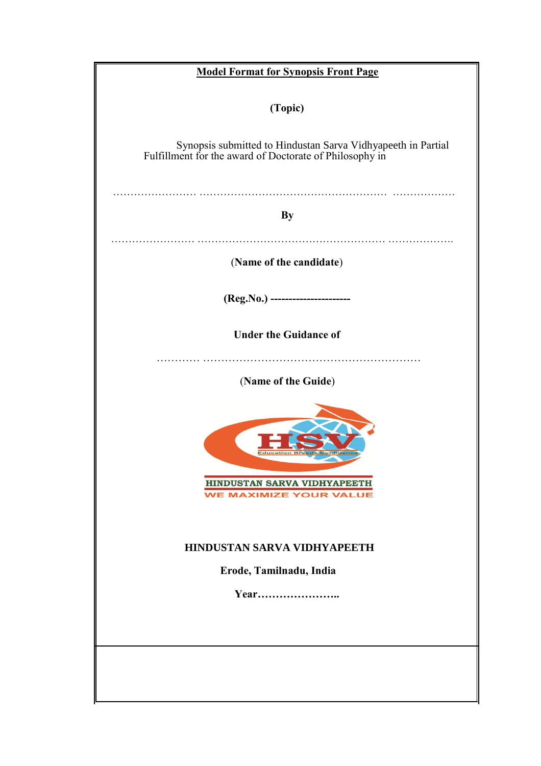| <b>Model Format for Synopsis Front Page</b>                                                                             |  |  |
|-------------------------------------------------------------------------------------------------------------------------|--|--|
| (Topic)                                                                                                                 |  |  |
| Synopsis submitted to Hindustan Sarva Vidhyapeeth in Partial<br>Fulfillment for the award of Doctorate of Philosophy in |  |  |
| <b>By</b>                                                                                                               |  |  |
| (Name of the candidate)                                                                                                 |  |  |
| (Reg.No.) ----------------------                                                                                        |  |  |
| <b>Under the Guidance of</b>                                                                                            |  |  |
| (Name of the Guide)                                                                                                     |  |  |
| HINDUSTAN SARVA VIDHYAPEETH<br><b>WE MAXIMIZE YOUR VALUE</b>                                                            |  |  |
| <b>HINDUSTAN SARVA VIDHYAPEETH</b>                                                                                      |  |  |
| Erode, Tamilnadu, India<br>Year                                                                                         |  |  |
|                                                                                                                         |  |  |
|                                                                                                                         |  |  |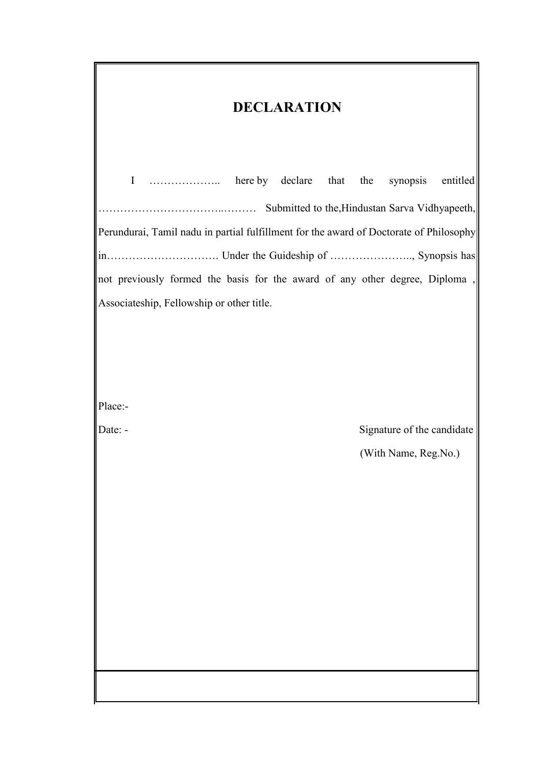| <b>DECLARATION</b>                                                                     |                                                    |  |
|----------------------------------------------------------------------------------------|----------------------------------------------------|--|
| $\mathbf I$                                                                            | entitled                                           |  |
| Perundurai, Tamil nadu in partial fulfillment for the award of Doctorate of Philosophy |                                                    |  |
|                                                                                        |                                                    |  |
| not previously formed the basis for the award of any other degree, Diploma,            |                                                    |  |
| Associateship, Fellowship or other title.                                              |                                                    |  |
|                                                                                        |                                                    |  |
|                                                                                        |                                                    |  |
|                                                                                        |                                                    |  |
| Place:-                                                                                |                                                    |  |
| Date: -                                                                                | Signature of the candidate<br>(With Name, Reg.No.) |  |
|                                                                                        |                                                    |  |
|                                                                                        |                                                    |  |
|                                                                                        |                                                    |  |
|                                                                                        |                                                    |  |
|                                                                                        |                                                    |  |
|                                                                                        |                                                    |  |
|                                                                                        |                                                    |  |
|                                                                                        |                                                    |  |
|                                                                                        |                                                    |  |
|                                                                                        |                                                    |  |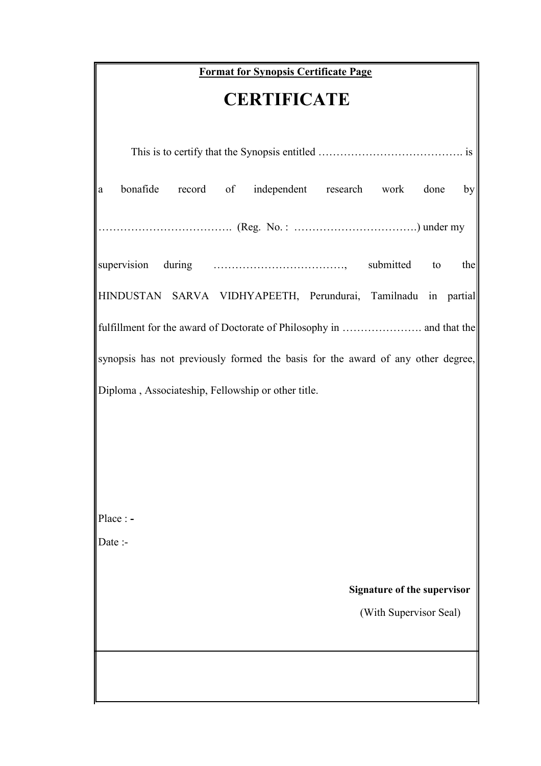# **Format for Synopsis Certificate Page**

# **CERTIFICATE**

| bonafide<br>record of independent research work<br>done<br>by<br>a              |  |  |
|---------------------------------------------------------------------------------|--|--|
|                                                                                 |  |  |
| to<br>the                                                                       |  |  |
| HINDUSTAN SARVA VIDHYAPEETH, Perundurai, Tamilnadu in partial                   |  |  |
|                                                                                 |  |  |
| synopsis has not previously formed the basis for the award of any other degree, |  |  |
| Diploma, Associateship, Fellowship or other title.                              |  |  |
|                                                                                 |  |  |
|                                                                                 |  |  |
|                                                                                 |  |  |
| $\vert$ Place : -                                                               |  |  |
| Date:                                                                           |  |  |
|                                                                                 |  |  |
| <b>Signature of the supervisor</b>                                              |  |  |
| (With Supervisor Seal)                                                          |  |  |
|                                                                                 |  |  |
|                                                                                 |  |  |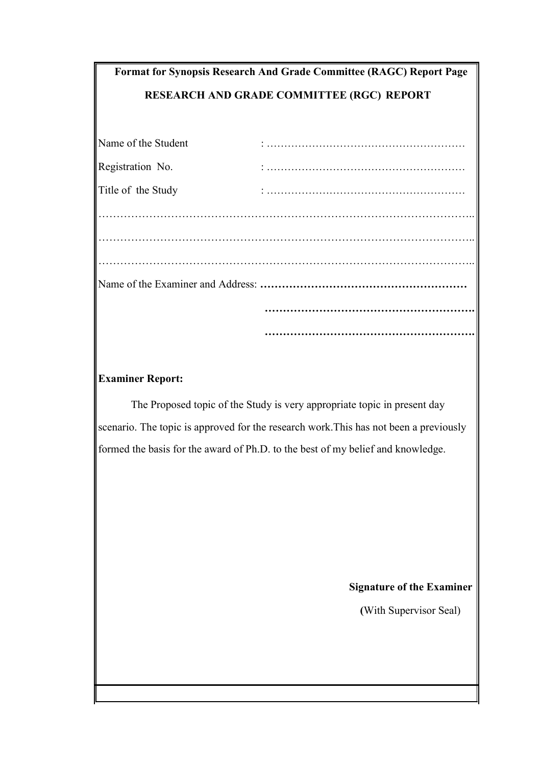| <b>Format for Synopsis Research And Grade Committee (RAGC) Report Page</b><br><b>RESEARCH AND GRADE COMMITTEE (RGC) REPORT</b> |  |  |
|--------------------------------------------------------------------------------------------------------------------------------|--|--|
|                                                                                                                                |  |  |
| Name of the Student                                                                                                            |  |  |
| Registration No.                                                                                                               |  |  |
| Title of the Study                                                                                                             |  |  |
|                                                                                                                                |  |  |
|                                                                                                                                |  |  |
|                                                                                                                                |  |  |
|                                                                                                                                |  |  |
|                                                                                                                                |  |  |

#### **Examiner Report:**

The Proposed topic of the Study is very appropriate topic in present day scenario. The topic is approved for the research work. This has not been a previously formed the basis for the award of Ph.D. to the best of my belief and knowledge.

### **Signature of the Examiner**

**………………………………………………….**

**(**With Supervisor Seal)